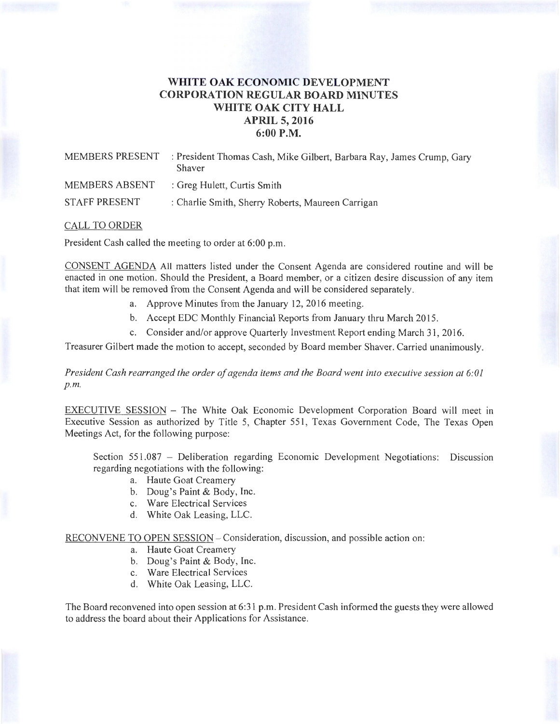## **WHITE OAK ECONOMIC DEVELOPMENT CORPORATION REGULAR BOARD MINUTES WHITE OAK CITY HALL APRIL 5, 2016 6:00P.M.**

| MEMBERS PRESENT | : President Thomas Cash, Mike Gilbert, Barbara Ray, James Crump, Gary<br>Shaver |
|-----------------|---------------------------------------------------------------------------------|
| MEMBERS ABSENT  | : Greg Hulett, Curtis Smith                                                     |
| STAFF PRESENT   | : Charlie Smith, Sherry Roberts, Maureen Carrigan                               |

## CALL TO ORDER

President Cash called the meeting to order at 6:00 p.m.

CONSENT AGENDA All matters listed under the Consent Agenda are considered routine and will be enacted in one motion. Should the President, a Board member, or a citizen desire discussion of any item that item will be removed from the Consent Agenda and will be considered separately.

- a. Approve Minutes from the January 12, 2016 meeting.
- b. Accept EDC Monthly Financial Reports from January thru March 2015.
- c. Consider and/or approve Quarterly Investment Report ending March 31, 2016.

Treasurer Gilbert made the motion to accept, seconded by Board member Shaver. Carried unanimously.

*President Cash rearranged the order of agenda items and the Board went into executive session at 6:01 p.m.* 

EXECUTIVE SESSION - The White Oak Economic Development Corporation Board will meet in Executive Session as authorized by Title 5, Chapter 551 , Texas Government Code, The Texas Open Meetings Act, for the following purpose:

Section 551.087 - Deliberation regarding Economic Development Negotiations: Discussion regarding negotiations with the following:

- a. Haute Goat Creamery
- b. Doug's Paint & Body, Inc.
- c. Ware Electrical Services
- d. White Oak Leasing, LLC.

RECONVENE TO OPEN SESSION - Consideration, discussion, and possible action on:

- a. Haute Goat Creamery
- b. Doug's Paint & Body, Inc.
- c. Ware Electrical Services
- d. White Oak Leasing, LLC.

The Board reconvened into open session at 6:31 p.m. President Cash informed the guests they were allowed to address the board about their Applications for Assistance.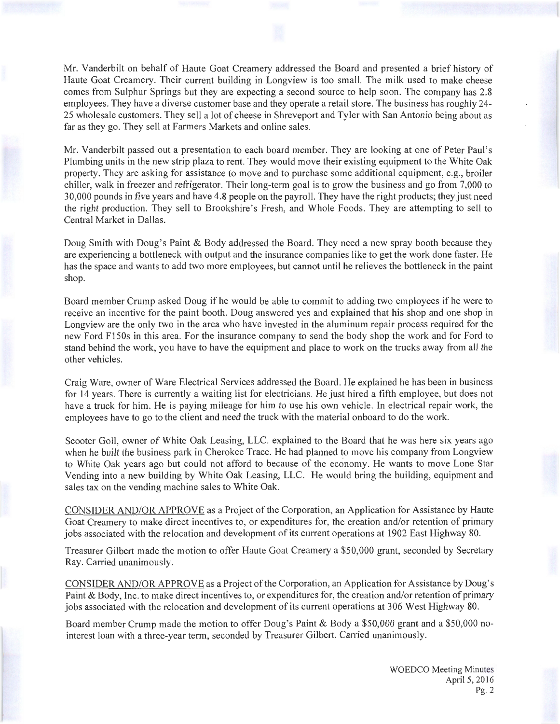Mr. Vanderbilt on behalf of Haute Goat Creamery addressed the Board and presented a brief history of Haute Goat Creamery. Their current building in Longview is too small. The milk used to make cheese comes from Sulphur Springs but they are expecting a second source to help soon. The company has 2.8 employees. They have a diverse customer base and they operate a retail store. The business has roughly 24- 25 wholesale customers. They sell a lot of cheese in Shreveport and Tyler with San Antonio being about as far as they go. They sell at Farmers Markets and online sales.

Mr. Vanderbilt passed out a presentation to each board member. They are looking at one of Peter Paul's Plumbing units in the new strip plaza to rent. They would move their existing equipment to the White Oak property. They are asking for assistance to move and to purchase some additional equipment, e.g., broiler chiller, walk in freezer and refrigerator. Their long-term goal is to grow the business and go from 7,000 to 30,000 pounds in five years and have 4.8 people on the payroll. They have the right products; they just need the right production. They sell to Brookshire's Fresh, and Whole Foods. They are attempting to sell to Central Market in Dallas.

Doug Smith with Doug's Paint & Body addressed the Board. They need a new spray booth because they are experiencing a bottleneck with output and the insurance companies like to get the work done faster. He has the space and wants to add two more employees, but cannot until he relieves the bottleneck in the paint shop.

Board member Crump asked Doug if he would be able to commit to adding two employees if he were to receive an incentive for the paint booth. Doug answered yes and explained that his shop and one shop in Longview are the only two in the area who have invested in the aluminum repair process required for the new Ford F150s in this area. For the insurance company to send the body shop the work and for Ford to stand behind the work, you have to have the equipment and place to work on the trucks away from all the other vehicles.

Craig Ware, owner of Ware Electrical Services addressed the Board. He explained he has been in business for 14 years. There is currently a waiting list for electricians. He just hired a fifth employee, but does not have a truck for him. He is paying mileage for him to use his own vehicle. In electrical repair work, the employees have to go to the client and need the truck with the material onboard to do the work.

Scooter Goll, owner of White Oak Leasing, LLC. explained to the Board that he was here six years ago when he built the business park in Cherokee Trace. He had planned to move his company from Longview to White Oak years ago but could not afford to because of the economy. He wants to move Lone Star Vending into a new building by White Oak Leasing, LLC. He would bring the building, equipment and sales tax on the vending machine sales to White Oak.

CONSIDER AND/OR APPROVE as a Project of the Corporation, an Application for Assistance by Haute Goat Creamery to make direct incentives to, or expenditures for, the creation and/or retention of primary jobs associated with the relocation and development of its current operations at 1902 East Highway 80.

Treasurer Gilbert made the motion to offer Haute Goat Creamery a \$50,000 grant, seconded by Secretary Ray. Carried unanimously.

CONSIDER AND/OR APPROVE as a Project of the Corporation, an Application for Assistance by Doug's Paint & Body, Inc. to make direct incentives to, or expenditures for, the creation and/or retention of primary jobs associated with the relocation and development of its current operations at 306 West Highway 80.

Board member Crump made the motion to offer Doug's Paint & Body a \$50,000 grant and a \$50,000 nointerest loan with a three-year term, seconded by Treasurer Gilbert. Carried unanimously.